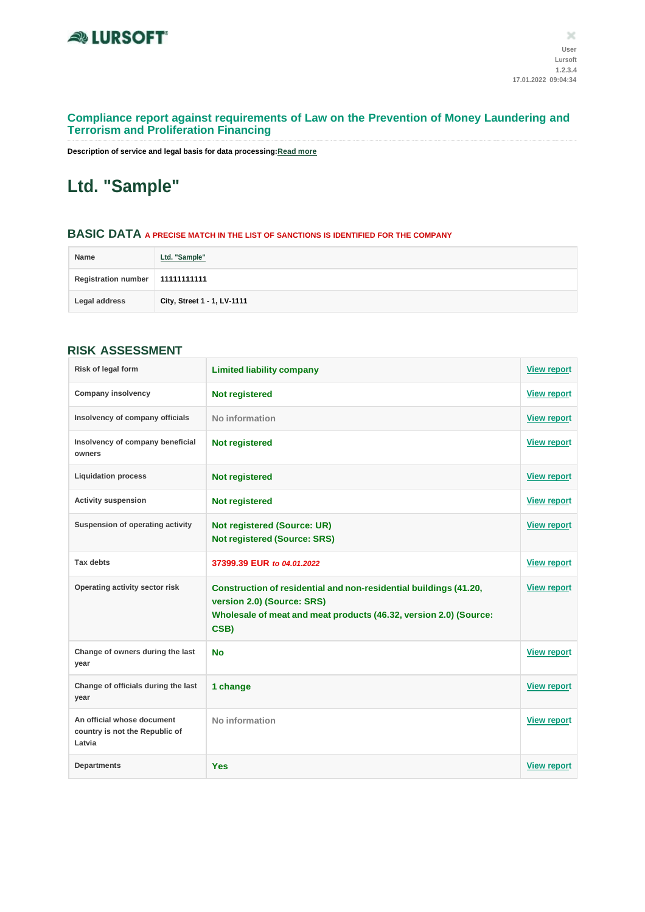

### **Compliance report against requirements of Law on the Prevention of Money Laundering and Terrorism and Proliferation Financing**

**Description of service and legal basis for data processing:Read more**

# **Ltd. "Sample"**

### **BASIC DATA <sup>A</sup> PRECISE MATCH IN THE LIST OF SANCTIONS IS IDENTIFIED FOR THE COMPANY**

| Name                              | Ltd. "Sample"               |
|-----------------------------------|-----------------------------|
| Registration number   11111111111 |                             |
| Legal address                     | City, Street 1 - 1, LV-1111 |

# **RISK ASSESSMENT**

| Risk of legal form                                                     | <b>Limited liability company</b>                                                                                                                                             | <b>View report</b> |
|------------------------------------------------------------------------|------------------------------------------------------------------------------------------------------------------------------------------------------------------------------|--------------------|
| <b>Company insolvency</b>                                              | <b>Not registered</b>                                                                                                                                                        | <b>View report</b> |
| Insolvency of company officials                                        | No information                                                                                                                                                               | <b>View report</b> |
| Insolvency of company beneficial<br>owners                             | Not registered                                                                                                                                                               | <b>View report</b> |
| <b>Liquidation process</b>                                             | Not registered                                                                                                                                                               | <b>View report</b> |
| <b>Activity suspension</b>                                             | <b>Not registered</b>                                                                                                                                                        | <b>View report</b> |
| Suspension of operating activity                                       | <b>Not registered (Source: UR)</b><br><b>Not registered (Source: SRS)</b>                                                                                                    | <b>View report</b> |
| <b>Tax debts</b>                                                       | 37399.39 EUR to 04.01.2022                                                                                                                                                   | <b>View report</b> |
| Operating activity sector risk                                         | Construction of residential and non-residential buildings (41.20,<br>version 2.0) (Source: SRS)<br>Wholesale of meat and meat products (46.32, version 2.0) (Source:<br>CSB) | <b>View report</b> |
| Change of owners during the last<br>year                               | <b>No</b>                                                                                                                                                                    | <b>View report</b> |
| Change of officials during the last<br>year                            | 1 change                                                                                                                                                                     | <b>View report</b> |
| An official whose document<br>country is not the Republic of<br>Latvia | No information                                                                                                                                                               | <b>View report</b> |
| <b>Departments</b>                                                     | <b>Yes</b>                                                                                                                                                                   | <b>View report</b> |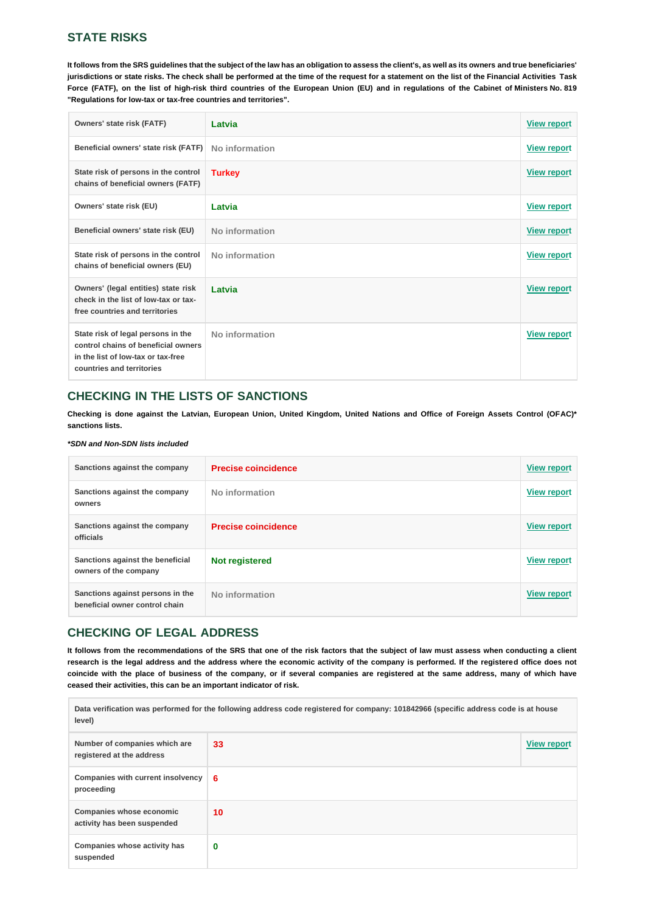# **STATE RISKS**

**It follows from the SRS guidelines that the subject of the law has an obligation to assess the client's, as well as its owners and true beneficiaries' jurisdictions or state risks. The check shall be performed at the time of the request for a statement on the list of the Financial Activities Task** Force (FATF), on the list of high-risk third countries of the European Union (EU) and in regulations of the Cabinet of Ministers No. 819 **"Regulations for low-tax or tax-free countries and territories".**

| Owners' state risk (FATF)                                                                                                                    | Latvia         | <b>View report</b> |
|----------------------------------------------------------------------------------------------------------------------------------------------|----------------|--------------------|
| Beneficial owners' state risk (FATF)                                                                                                         | No information | <b>View report</b> |
| State risk of persons in the control<br>chains of beneficial owners (FATF)                                                                   | <b>Turkey</b>  | <b>View report</b> |
| Owners' state risk (EU)                                                                                                                      | Latvia         | <b>View report</b> |
| Beneficial owners' state risk (EU)                                                                                                           | No information | <b>View report</b> |
| State risk of persons in the control<br>chains of beneficial owners (EU)                                                                     | No information | <b>View report</b> |
| Owners' (legal entities) state risk<br>check in the list of low-tax or tax-<br>free countries and territories                                | Latvia         | <b>View report</b> |
| State risk of legal persons in the<br>control chains of beneficial owners<br>in the list of low-tax or tax-free<br>countries and territories | No information | <b>View report</b> |

# **CHECKING IN THE LISTS OF SANCTIONS**

**Checking is done against the Latvian, European Union, United Kingdom, United Nations and Office of Foreign Assets Control (OFAC)\* sanctions lists.**

#### *\*SDN and Non-SDN lists included*

| Sanctions against the company                                      | <b>Precise coincidence</b> | <b>View report</b> |
|--------------------------------------------------------------------|----------------------------|--------------------|
| Sanctions against the company<br>owners                            | No information             | <b>View report</b> |
| Sanctions against the company<br>officials                         | <b>Precise coincidence</b> | <b>View report</b> |
| Sanctions against the beneficial<br>owners of the company          | <b>Not registered</b>      | <b>View report</b> |
| Sanctions against persons in the<br>beneficial owner control chain | No information             | <b>View report</b> |

### **CHECKING OF LEGAL ADDRESS**

**It follows from the recommendations of the SRS that one of the risk factors that the subject of law must assess when conducting a client research is the legal address and the address where the economic activity of the company is performed. If the registered office does not** coincide with the place of business of the company, or if several companies are registered at the same address, many of which have **ceased their activities, this can be an important indicator of risk.**

| level)                                                     | Data verification was performed for the following address code registered for company: 101842966 (specific address code is at house |                    |
|------------------------------------------------------------|-------------------------------------------------------------------------------------------------------------------------------------|--------------------|
| Number of companies which are<br>registered at the address | 33                                                                                                                                  | <b>View report</b> |
| Companies with current insolvency<br>proceeding            | 6                                                                                                                                   |                    |
| Companies whose economic<br>activity has been suspended    | 10                                                                                                                                  |                    |
| Companies whose activity has<br>suspended                  | $\bf{0}$                                                                                                                            |                    |